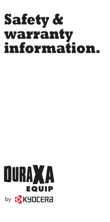# **Safety & warranty information.**

# **OURAXA** EQUIP by <mark>to</mark> KYOCERa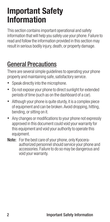## **Important Safety Information**

This section contains important operational and safety information that will help you safely use your phone. Failure to read and follow the information provided in this section may result in serious bodily injury, death, or property damage.

## General Precautions

There are several simple guidelines to operating your phone properly and maintaining safe, satisfactory service.

- Speak directly into the microphone.
- Do not expose your phone to direct sunlight for extended periods of time (such as on the dashboard of a car).
- Although your phone is quite sturdy, it is a complex piece of equipment and can be broken. Avoid dropping, hitting, bending, or sitting on it.
- Any changes or modifications to your phone not expressly approved in this document could void your warranty for this equipment and void your authority to operate this equipment.
- Note: For the best care of your phone, only Kyoceraauthorized personnel should service your phone and accessories. Failure to do so may be dangerous and void your warranty.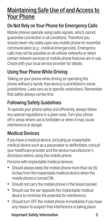## Maintaining Safe Use of and Access to Your Phone

## Do Not Rely on Your Phone for Emergency Calls

Mobile phones operate using radio signals, which cannot guarantee connection in all conditions. Therefore you should never rely solely upon any mobile phone for essential communication (e.g., medical emergencies). Emergency calls may not be possible on all cellular networks or when certain network services or mobile phone features are in use. Check with your local service provider for details.

## Using Your Phone While Driving

Talking on your phone while driving (or operating the phone without a hands-free device) is prohibited in some jurisdictions. Laws vary as to specific restrictions. Remember that safety always comes first.

## Following Safety Guidelines

To operate your phone safely and efficiently, always follow any special regulations in a given area. Turn your phone off in areas where use is forbidden or when it may cause interference or danger.

### Medical Devices

If you have a medical device, including an implantable medical device such as a pacemaker or defibrillator, consult your healthcare provider and the device manufacturer's directions before using this mobile phone.

Persons with implantable medical devices:

- Should always keep the mobile phone more than six (6) inches from the implantable medical device when the mobile phone is turned ON.
- Should not carry the mobile phone in the breast pocket.
- Should use the ear opposite the implantable medical device to minimize the potential for interference.
- Should turn OFF the mobile phone immediately if you have any reason to suspect that interference is taking place.

#### **Important Safety Information** 3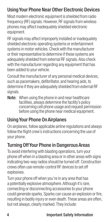## Using Your Phone Near Other Electronic Devices

Most modern electronic equipment is shielded from radio frequency (RF) signals. However, RF signals from wireless phones may affect inadequately shielded electronic equipment.

RF signals may affect improperly installed or inadequately shielded electronic operating systems or entertainment systems in motor vehicles. Check with the manufacturer or their representative to determine if these systems are adequately shielded from external RF signals. Also check with the manufacturer regarding any equipment that has been added to your vehicle.

Consult the manufacturer of any personal medical devices, such as pacemakers, defibrillator, and hearing aids, to determine if they are adequately shielded from external RF signals.

Note: When using the phone in and near healthcare facilities, always determine the facility's policy concerning cell phone usage and request permission before using the phone near medical equipment.

## Using Your Phone On Airplanes

On airplanes, follow applicable airline regulations and always follow the flight crew's instructions concerning the use of your phone.

## Turning Off Your Phone in Dangerous Areas

To avoid interfering with blasting operations, turn your phone off when in a blasting area or in other areas with signs indicating two-way radios should be turned off. Construction crews often use remote-control RF devices to set off explosives.

Turn your phone off when you're in any area that has a potentially explosive atmosphere. Although it's rare, connecting or disconnecting accessories to your phone could generate sparks. Sparks can cause an explosion or fire, resulting in bodily injury or even death. These areas are often, but not always, clearly marked. They include: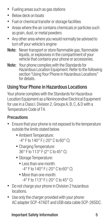- Fueling areas such as gas stations
- Below deck on boats
- Fuel or chemical transfer or storage facilities
- Areas where the air contains chemicals or particles such as grain, dust, or metal powders
- Any other area where you would normally be advised to turn off your vehicle's engine
- Note: Never transport or store flammable gas, flammable liquids, or explosives in the compartment of your vehicle that contains your phone or accessories.
- Note: Your phone complies with the Standards for Hazardous Location Equipment. Refer to the following section "Using Your Phone in Hazardous Locations" for details.

## Using Your Phone in Hazardous Locations

Your phone complies with the Standards for Hazardous Location Equipment as a Nonincendive Electrical Equipment for use in a Class I, Division 2, Groups A, B, C, & D with a Temperature Code of T4.

#### **Precautions**

- Ensure that your phone is not exposed to the temperature outside the limits stated below.
	- Ambient Temperature: -4° F to 140° F (-20° C to 60° C)
	- Charging Temperature: 36° F to 113° F (2° C to 45° C)
	- Storage Temperature:
		- Less than one month: -4° F to 140° F (-20° C to 60° C)
		- More than one month: -4° F to 113° F (-20° C to 45° C)
- Do not charge your phone in Division 2 hazardous locations.
- Use only the charger provided with your phone: AC adapter SCP-47ADT and USB data cable SCP-26SDC.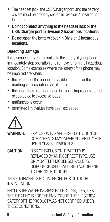- The headset jack, the USB/Charger port, and the battery covers must be properly sealed in Division 2 hazardous locations.
- Do not connect anything to the headset jack or the USB/Charger port in Division 2 hazardous locations.
- Do not open the battery cover in Division 2 hazardous locations.

#### Detecting Damage

If you suspect any compromise to the safety of your phone, immediately stop operation and remove it from the hazardous location. Some examples where the safety of the phone may be impaired are when:

- the exterior of the phone has visible damage, or the markings or inscriptions are illegible.
- the phone has been damaged in transit, improperly stored, or subjected to excessive loads.
- malfunctions occur.
- permitted limit values have been exceeded.



- WARNING: FXPLOSION HAZARD—SUBSTITUTION OF COMPONENTS MAY IMPAIR SUITABILITY FOR USE IN CLASS I, DIVISION 2.
- CAUTION: RISK OF EXPLOSION IF BATTERY IS REPLACED BY AN INCORRECT TYPE. LISE ONLY BATTERY MODEL SCP-73LBPS. DISPOSE OF USED BATTERIES ACCORDING TO THE INSTRUCTIONS.

THIS EQUIPMENT IS NOT INTENDED FOR OUTDOOR INSTALLATION.

ENCLOSURE WATER INGRESS RATING: IPX4, IPX5, IPX8. THE IP RATING IS FOR THE ENCLOSURE. THE ELECTRICAL SAFETY OF THE PRODUCT WAS NOT CERTIFIED UNDER THESE CONDITIONS.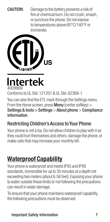CAUTION: Damage to the battery presents a risk of fire or chemical burn. Do not crush, smash, or puncture the phone. Do not expose to temperatures above 60°C/140°F or incinerate.



**Intertek** 4009869

Conforms to UL Std. 121201 & UL Std. 62368-1 You can also find the FTL mark through the Settings menu. From the Home screen, press Menu (center softkey) > Settings & tools > Settings > About phone > Compliance information.

## Restricting Children's Access to Your Phone

Your phone is not a toy. Do not allow children to play with it as they could hurt themselves and others, damage the phone, or make calls that may increase your monthly bill.

## **Waterproof Capability**

Your phone is waterproof and meets IPX5 and IPX8 standards, immersible for up to 30 minutes at a depth not exceeding two meters (about 6.56 feet). Exposing your phone to water outside these limits or not following the precautions can result in water damage.

To ensure that your phone maintains waterproof capability, the following precautions must be observed.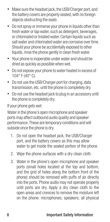- Make sure the headset jack, the USB/Charger port, and the battery covers are properly seated, with no foreign objects obstructing the seals.
- Do not spray or immerse your phone in liquids other than fresh water or tap water, such as detergent, beverages, or chlorinated or treated water. Certain liquids such as salt water and chlorinated water are corrosive over time. Should your phone be accidentally exposed to other liquids, rinse the phone gently in clean fresh water.
- Your phone is inoperable under water and should be dried as quickly as possible when wet.
- Do not expose your phone to water heated in excess of 104° F (40° C).
- Do not use the USB/Charger port for charging, data transmission, etc. until the phone is completely dry.
- Do not use the headset jack to plug in an accessory until the phone is completely dry.

If your phone gets wet:

Water in the phone's open microphone and speaker ports may affect outbound audio quality and speaker performance. These are temporary conditions and will subside once the phone is dry.

- 1. Do not open the headset jack, the USB/Charger port, and the battery covers as this may allow water to get inside the sealed portion of the phone.
- 2. Wipe the phone surfaces with a dry clean cloth.
- 3. Water in the phone's open microphone and speaker ports (small holes located at the top and bottom, and the grid of holes along the bottom front of the phone) should be removed with puffs of air directly into the ports. Phone audio may not operate properly until ports are dry. Apply a dry clean cloth to the open areas and crevices to remove the moisture left on the phone: microphones; speakers; all physical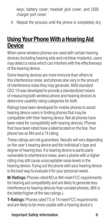keys; battery cover; headset jack cover; and USB/ charger port cover.

4. Repeat the process until the phone is completely dry.

## **Using Your Phone With a Hearing Aid Device**

When some wireless phones are used with certain hearing devices (including hearing aids and cochlear implants), users may detect a noise which can interfere with the effectiveness of the hearing device.

Some hearing devices are more immune than others to this interference noise, and phones also vary in the amount of interference noise they may generate. ANSI standard C63.19 was developed to provide a standardized means of measuring both wireless phone and hearing devices to determine usability rating categories for both.

Ratings have been developed for mobile phones to assist hearing device users in finding phones that may be compatible with their hearing device. Not all phones have been rated for compatibility with hearing devices. Phones that have been rated have a label located on the box. Your phone has an M4 and a T4 rating.

These ratings are not guarantees. Results will vary depending on the user's hearing device and the individual's type and degree of hearing loss. If a hearing device is particularly vulnerable to interference noise, even a phone with a higher rating may still cause unacceptable noise levels in the hearing device. Trying out the phone with your hearing device is the best way to evaluate it for your personal needs.

M-Ratings: Phones rated M3 or M4 meet FCC requirements for hearing aid compatibility and are likely to generate less interference to hearing devices than unrated phones. (M4 is the better/higher of the two ratings.)

T-Ratings: Phones rated T3 or T4 meet FCC requirements and are likely to be more usable with a hearing device's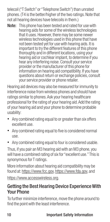telecoil ("T Switch" or "Telephone Switch") than unrated phones. (T4 is the better/higher of the two ratings. Note that not all hearing devices have telecoils in them.)

Note: This phone has been tested and rated for use with hearing aids for some of the wireless technologies that it uses. However, there may be some newer wireless technologies used in this phone that have not been tested yet for use with hearing aids. It is important to try the different features of this phone thoroughly and in different locations, using your hearing aid or cochlear implant, to determine if you hear any interfering noise. Consult your service provider or the manufacturer of this phone for information on hearing aid compatibility. If you have questions about return or exchange policies, consult your service provider or phone retailer.

Hearing aid devices may also be measured for immunity to interference noise from wireless phones and should have ratings similar to phones. Ask your hearing healthcare professional for the rating of your hearing aid. Add the rating of your hearing aid and your phone to determine probable usability:

- Any combined rating equal to or greater than six offers excellent use.
- Any combined rating equal to five is considered normal use.
- Any combined rating equal to four is considered usable.

Thus, if you pair an M3 hearing aid with an M3 phone, you will have a combined rating of six for "excellent use." This is synonymous for T ratings.

More information about hearing aid compatibility may be found at: https://www.fcc.gov, https://www.fda.gov, and [https://www.accesswireless.org.](https://www.accesswireless.org)

### Getting the Best Hearing Device Experience With Your Phone

To further minimize interference, move the phone around to find the point with the least interference.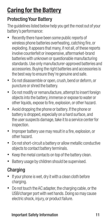## **Caring for the Battery**

## Protecting Your Battery

The guidelines listed below help you get the most out of your battery's performance:

- Recently there have been some public reports of wireless phone batteries overheating, catching fire, or exploding. It appears that many, if not all, of these reports involve counterfeit or inexpensive, aftermarket-brand batteries with unknown or questionable manufacturing standards. Use only manufacturer-approved batteries and accessories. Buying the right batteries and accessories is the best way to ensure they're genuine and safe.
- Do not disassemble or open, crush, bend or deform, or puncture or shred the battery.
- Do not modify or remanufacture, attempt to insert foreign objects into the battery, immerse or expose to water or other liquids, expose to fire, explosion, or other hazard.
- Avoid dropping the phone or battery. If the phone or battery is dropped, especially on a hard surface, and the user suspects damage, take it to a service center for inspection.
- Improper battery use may result in a fire, explosion, or other hazard.
- Do not short-circuit a battery or allow metallic conductive objects to contact battery terminals.
- Keep the metal contacts on top of the battery clean.
- Battery usage by children should be supervised.

## **Charging**

- If your phone is wet, dry it with a clean cloth before charging.
- Do not touch the AC adapter, the charging cable, or the USB/charger port with wet hands. Doing so may cause electric shock, injury, or product failure.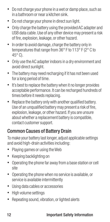- Do not charge your phone in a wet or damp place, such as in a bathroom or near a kitchen sink.
- Do not charge your phone in direct sun light.
- Only charge the battery using the provided AC adapter and USB data cable. Use of any other device may present a risk of fire, explosion, leakage, or other hazard.
- In order to avoid damage, charge the battery only in temperatures that range from 36° F to 113° F (2° C to  $45^\circ$  C).
- Only use the AC adapter indoors in a dry environment and avoid direct sunlight.
- The battery may need recharging if it has not been used for a long period of time.
- It's best to replace the battery when it no longer provides acceptable performance. It can be recharged hundreds of times before it needs replacing.
- Replace the battery only with another qualified battery. Use of an unqualified battery may present a risk of fire, explosion, leakage, or other hazard. If you are unsure about whether a replacement battery is compatible, contact customer support.

## Common Causes of Battery Drain

To make your battery last longer, adjust applicable settings and avoid high-drain activities including:

- Playing games or using the Web
- Keeping backlighting on
- Operating the phone far away from a base station or cell site
- Operating the phone when no service is available, or service is available intermittently
- Using data cables or accessories
- High volume settings
- Repeating sound, vibration, or lighted alerts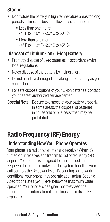## Storing

- Don't store the battery in high temperature areas for long periods of time. It's best to follow these storage rules:
	- Less than one month: -4° F to 140° F (-20° C to 60° C)
	- More than one month: -4° F to 113° F (-20° C to 45° C)

## Disposal of Lithium-ion (Li-ion) Battery

- Promptly dispose of used batteries in accordance with local regulations.
- Never dispose of the battery by incineration.
- Do not handle a damaged or leaking Li-ion battery as you can be burned.
- For safe disposal options of your Li-ion batteries, contact your nearest authorized service center.
- Special Note: Be sure to dispose of your battery properly. In some areas, the disposal of batteries in household or business trash may be prohibited.

## **Radio Frequency (RF) Energy**

## Understanding How Your Phone Operates

Your phone is a radio transmitter and receiver. When it's turned on, it receives and transmits radio frequency (RF) signals. Your phone is designed to transmit just enough RF power to reach the network. The system handling your call controls the RF power level. Depending on network conditions, your phone may operate at an actual Specific Absorption Rates (SAR) level below the maximum value specified. Your phone is designed not to exceed the recommended international guidelines for limits on RF exposure.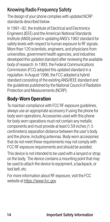## Knowing Radio Frequency Safety

The design of your phone complies with updated NCRP standards described below.

In 1991–92, the Institute of Electrical and Electronics Engineers (IEEE) and the American National Standards Institute (ANSI) joined in updating ANSI's 1982 standard for safety levels with respect to human exposure to RF signals. More than 120 scientists, engineers, and physicians from universities, government health agencies, and industries developed this updated standard after reviewing the available body of research. In 1993, the Federal Communications Commission (FCC) adopted this updated standard in a regulation. In August 1996, the FCC adopted a hybrid standard consisting of the existing ANSI/IEEE standard and the guidelines published by the National Council of Radiation Protection and Measurements (NCRP).

## **Body-Worn Operation**

To maintain compliance with FCC RF exposure guidelines, always use an appropriate accessory if using the phone for body worn operations. Accessories used with this phone for body worn operations must not contain any metallic components and must provide at least 0.59 inches (1.5 centimeters) separation distance between the user's body and the phone, including antennas. Body worn accessories that do not meet these requirements may not comply with FCC RF exposure requirements and should be avoided.

This device is not intended to be used with a lanyard or strap on the body. The device contains a mounting point that may be used to attach the device to equipment, a backpack, or tool belt, etc.

For more information about RF exposure, visit the FCC website at https://www.fcc.gov.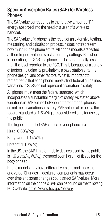#### Specific Absorption Rates (SAR) for Wireless **Phones**

The SAR value corresponds to the relative amount of RF energy absorbed into the head of a user of a wireless handset.

The SAR value of a phone is the result of an extensive testing, measuring, and calculation process. It does not represent how much RF the phone emits. All phone models are tested at their highest value in strict laboratory settings. But when in operation, the SAR of a phone can be substantially less than the level reported to the FCC. This is because of a variety of factors including its proximity to a base station antenna, phone design, and other factors. What is important to remember is that each phone meets strict federal guidelines. Variations in SARs do not represent a variation in safety.

All phones must meet the federal standard, which incorporates a substantial margin of safety. As stated above, variations in SAR values between different model phones do not mean variations in safety. SAR values at or below the federal standard of 1.6 W/kg are considered safe for use by the public.

The highest reported SAR values of your phone are:

Head: 0.60 W/kg

Body-worn: 1.14 W/kg

Hotspot: 1.10 W/kg

In the US, the SAR limit for mobile devices used by the public is 1.6 watts/kg (W/kg) averaged over 1 gram of tissue for the body or head.

Phone models may have different versions and more than one value. Changes in design or components may occur over time and some changes could affect SAR values. More information on the phone's SAR can be found on the following FCC website:<https://www.fcc.gov/oet/ea/>.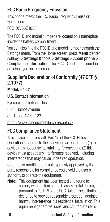## **FCC Radio Frequency Emission**

This phone meets the FCC Radio Frequency Emission Guidelines.

FCC ID: V65E4830

The FCC ID and model number are located on a nameplate inside the battery compartment.

You can also find the FCC ID and model number through the Settings menu. From the Home screen, press Menu (center softkey) > Settings & tools > Settings > About phone > Compliance information. The FCC ID and model number are displayed on the screen.

## Supplier's Declaration of Conformity (47 CFR § 2.1077)

Model: F4831

#### U.S. Contact Information

Kyocera International, Inc.

8611 Balboa Avenue

San Diego, CA 92123

https://www.kyoceramobile.com/contact/

## FCC Compliance Statement

This device complies with Part 15 of the FCC Rules. Operation is subject to the following two conditions: (1) this device may not cause harmful interference, and (2) this device must accept any interference received, including interference that may cause undesired operation.

Changes or modifications not expressly approved by the party responsible for compliance could void the user's authority to operate the equipment.

Note: This equipment has been tested and found to comply with the limits for a Class B digital device, pursuant to Part 15 of the FCC Rules. These limits are designed to provide reasonable protection against harmful interference in a residential installation. This equipment generates, uses, and can radiate radio

#### 16 **Important Safety Information**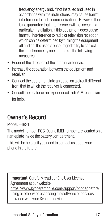frequency energy and, if not installed and used in accordance with the instructions, may cause harmful interference to radio communications. However, there is no guarantee that interference will not occur in a particular installation. If this equipment does cause harmful interference to radio or television reception, which can be determined by turning the equipment off and on, the user is encouraged to try to correct the interference by one or more of the following measures:

- Reorient the direction of the internal antennas.
- Increase the separation between the equipment and receiver.
- Connect the equipment into an outlet on a circuit different from that to which the receiver is connected.
- Consult the dealer or an experienced radio/TV technician for help.

## Owner's Record

Model: E4831

The model number, FCC ID, and IMEI number are located on a nameplate inside the battery compartment.

 This will be helpful if you need to contact us about your phone in the future.

Important: Carefully read our End User License Agreement at our website https://www.kyoceramobile.com/support/phone/ before using or otherwise accessing the software or services provided with your Kyocera device.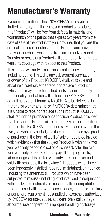## **Manufacturer's Warranty**

Kyocera International, Inc. ("KYOCERA") offers you a limited warranty that the enclosed product or products (the "Product") will be free from defects in material and workmanship for a period that expires two years from the date of sale of the Product to you, provided that you are the original end-user purchaser of the Product and provided that your purchase was made from an authorized supplier. Transfer or resale of a Product will automatically terminate warranty coverage with respect to that Product.

This limited warranty is not transferable to any third party, including but not limited to any subsequent purchaser or owner of the Product. KYOCERA shall, at its sole and absolute discretion, either repair or replace a Product (which unit may use refurbished parts of similar quality and functionality, and which will include the KYOCERA standard default software) if found by KYOCERA to be defective in material or workmanship, or if KYOCERA determines that it is unable to repair or replace such Product, KYOCERA shall refund the purchase price for such Product, provided that the subject Product (i) is returned, with transportation prepaid, to a KYOCERA authorized service center within the two year warranty period, and (ii) is accompanied by a proof of purchase in the form of a bill of sale or receipted invoice which evidences that the subject Product is within the two year warranty period ("Proof of Purchase"). After the two year warranty period, you must pay all shipping, parts, and labor charges. This limited warranty does not cover and is void with respect to the following: (i) Products which have been improperly installed, repaired, maintained, or modified (including the antenna); (ii) Products which have been subjected to misuse (including Products used in conjunction with hardware electrically or mechanically incompatible or Products used with software, accessories, goods, or ancillary or peripheral equipment not supplied or expressly authorized by KYOCERA for use), abuse, accident, physical damage, abnormal use or operation, improper handling or storage,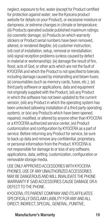neglect, exposure to fire, water (except for Product certified for protection against water; see the Kyocera product website for details on your Product), or excessive moisture or dampness, or extreme changes in climate or temperature; (iii) Products operated outside published maximum ratings; (iv) cosmetic damage; (v) Products on which warranty stickers or Product serial numbers have been removed, altered, or rendered illegible; (vi) customer instruction; (vii) cost of installation, setup, removal or reinstallation; (viii) signal reception problems (unless caused by defect in material or workmanship); (ix) damage the result of fire flood, acts of God, or other acts which are not the fault of KYOCERA and which the Product is not specified to tolerate, including damage caused by mishandling and blown fuses; (x) consumables (such as memory cards, fuses, etc.); (xi) third party software or applications, data and equipment not originally supplied with the Product; (xii) any Product in which the software has not been updated to the current version; (xiii) any Product in which the operating system has been unlocked (allowing installation of a third party operating system); or (xiv) any Products which have been opened, repaired, modified, or altered by anyone other than KYOCERA or a KYOCERA authorized service center, (xv) Product customization and configuration by KYOCERA as a part of service. Before returning any Product for service, be sure to back up data and remove any confidential, proprietary, or personal information from the Product. KYOCERA is not responsible for damage to or loss of any software, applications, data, setting, customization, configuration or removable storage media.

USE ONLY APPROVED ACCESSORIES WITH KYOCERA PHONES. USE OF ANY UNAUTHORIZED ACCESSORIES MAY BE DANGEROUS AND WILL INVALIDATE THE PHONE WARRANTY IF SAID ACCESSORIES CAUSE DAMAGE OR A DEFECT TO THE PHONE.

KYOCERA, ITS PARENT COMPANY AND ITS AFFILIATES SPECIFICALLY DISCLAIM LIABILITY FOR ANY AND ALL DIRECT, INDIRECT, SPECIAL, GENERAL, PUNITIVE,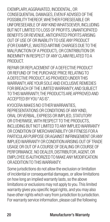EXEMPLARY, AGGRAVATED, INCIDENTAL, OR CONSEQUENTIAL DAMAGES, EVEN IF ADVISED OF THE POSSIBILITY THEREOF, WHETHER FORESEEABLE OR UNFORESEEABLE OF ANY KIND WHATSOEVER, INCLUDING BUT NOT LIMITED TO LOSS OF PROFITS, UNANTICIPATED BENEFITS OR REVENUE, ANTICIPATED PROFITS ARISING OUT OF USE OF OR INABILITY TO USE ANY PRODUCT (FOR EXAMPLE, WASTED AIRTIME CHARGES DUE TO THE MALFUNCTION OF A PRODUCT), OR CONTRIBUTION OR INDEMNITY IN RESPECT OF ANY CLAIM RELATED TO A PRODUCT.

REPAIR OR REPLACEMENT OF A DEFECTIVE PRODUCT OR REFUND OF THE PURCHASE PRICE RELATING TO A DEFECTIVE PRODUCT, AS PROVIDED UNDER THIS WARRANTY, ARE YOUR SOLE AND EXCLUSIVE REMEDIES FOR BREACH OF THE LIMITED WARRANTY, AND SUBJECT TO THIS WARRANTY, THE PRODUCTS ARE APPROVED AND ACCEPTED BY YOU "AS IS"

KYOCERA MAKES NO OTHER WARRANTIES, REPRESENTATIONS OR CONDITIONS OF ANY KIND, ORAL OR VERBAL, EXPRESS OR IMPLIED, STATUTORY OR OTHERWISE, WITH RESPECT TO THE PRODUCTS INCLUDING BUT NOT LIMITED TO ANY IMPLIED WARRANTY OR CONDITION OF MERCHANTABILITY OR FITNESS FOR A PARTICULAR PURPOSE OR AGAINST INFRINGEMENT OR ANY IMPLIED WARRANTY OR CONDITION ARISING OUT OF TRADE USAGE OR OUT OF A COURSE OF DEALING OR COURSE OF PERFORMANCE, NO DEALER, DISTRIBUTOR, AGENT, OR EMPLOYEE IS AUTHORIZED TO MAKE ANY MODIFICATION OR ADDITION TO THIS WARRANTY.

Some jurisdictions do not allow the exclusion or limitation of incidental or consequential damages, or allow limitations on how long an implied warranty lasts, so the above limitations or exclusions may not apply to you. This limited warranty gives you specific legal rights, and you may also have other rights which vary from jurisdiction to jurisdiction. For warranty service information, please call the following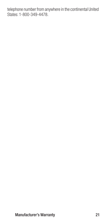telephone number from anywhere in the continental United States: 1-800-349-4478.